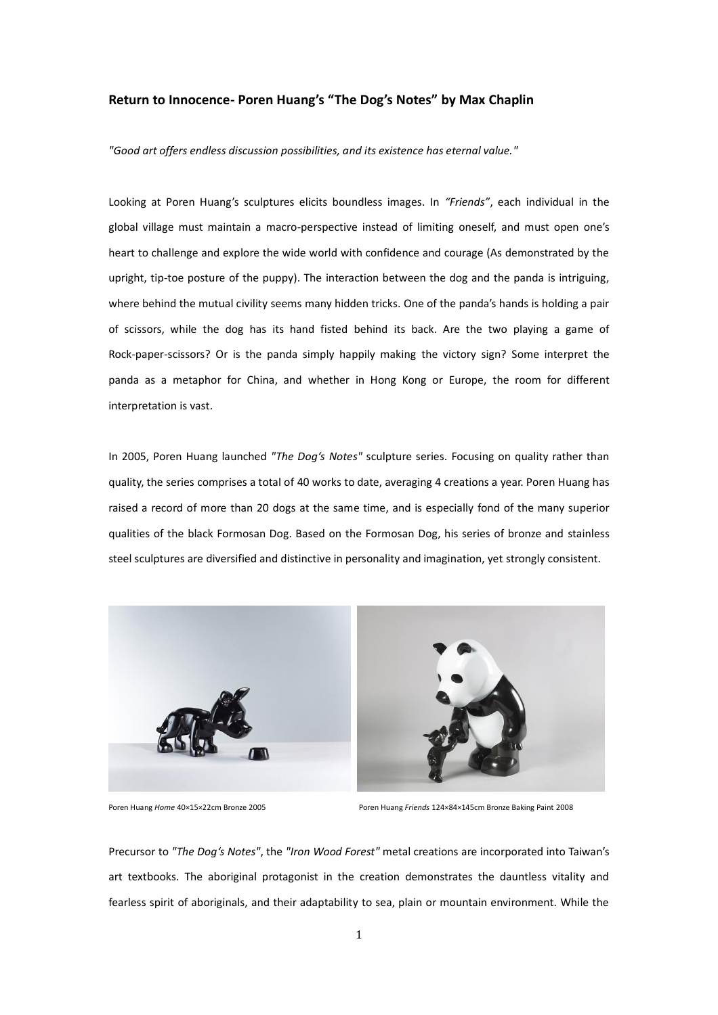# **Return to Innocence- Poren Huang's "The Dog's Notes" by Max Chaplin**

*"Good art offers endless discussion possibilities, and its existence has eternal value."*

Looking at Poren Huang's sculptures elicits boundless images. In *"Friends"*, each individual in the global village must maintain a macro-perspective instead of limiting oneself, and must open one's heart to challenge and explore the wide world with confidence and courage (As demonstrated by the upright, tip-toe posture of the puppy). The interaction between the dog and the panda is intriguing, where behind the mutual civility seems many hidden tricks. One of the panda's hands is holding a pair of scissors, while the dog has its hand fisted behind its back. Are the two playing a game of Rock-paper-scissors? Or is the panda simply happily making the victory sign? Some interpret the panda as a metaphor for China, and whether in Hong Kong or Europe, the room for different interpretation is vast.

In 2005, Poren Huang launched *"The Dog's Notes"* sculpture series. Focusing on quality rather than quality, the series comprises a total of 40 works to date, averaging 4 creations a year. Poren Huang has raised a record of more than 20 dogs at the same time, and is especially fond of the many superior qualities of the black Formosan Dog. Based on the Formosan Dog, his series of bronze and stainless steel sculptures are diversified and distinctive in personality and imagination, yet strongly consistent.



Poren Huang *Home* 40×15×22cm Bronze 2005 Poren Huang *Friends* 124×84×145cm Bronze Baking Paint 2008

Precursor to *"The Dog's Notes"*, the *"Iron Wood Forest"* metal creations are incorporated into Taiwan's art textbooks. The aboriginal protagonist in the creation demonstrates the dauntless vitality and fearless spirit of aboriginals, and their adaptability to sea, plain or mountain environment. While the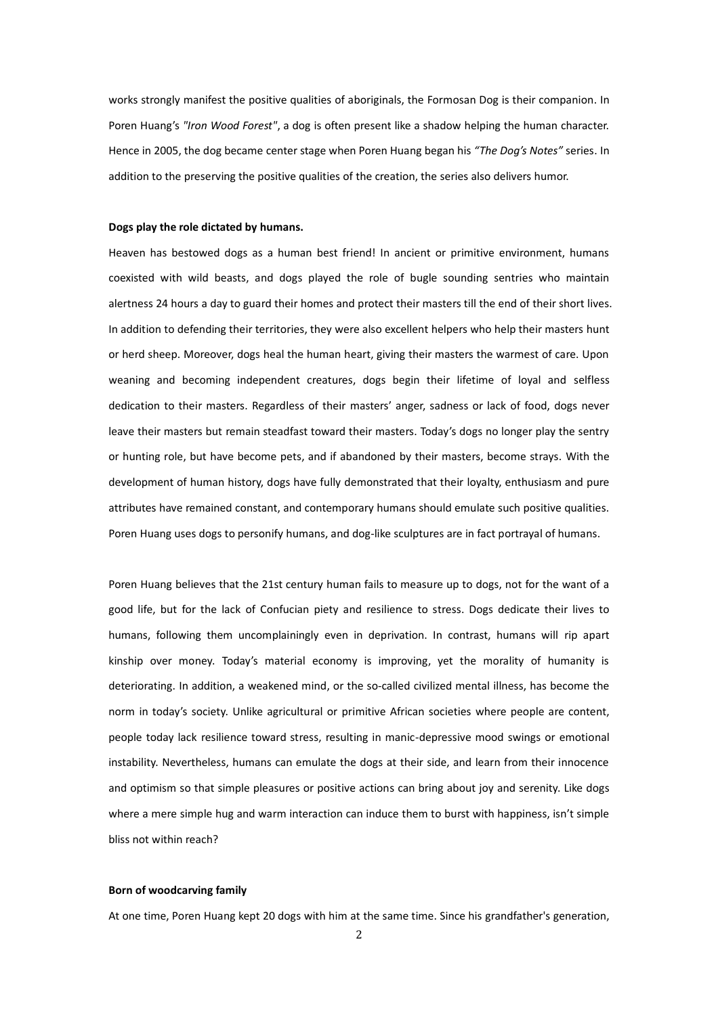works strongly manifest the positive qualities of aboriginals, the Formosan Dog is their companion. In Poren Huang's *"Iron Wood Forest"*, a dog is often present like a shadow helping the human character. Hence in 2005, the dog became center stage when Poren Huang began his *"The Dog's Notes"* series. In addition to the preserving the positive qualities of the creation, the series also delivers humor.

#### **Dogs play the role dictated by humans.**

Heaven has bestowed dogs as a human best friend! In ancient or primitive environment, humans coexisted with wild beasts, and dogs played the role of bugle sounding sentries who maintain alertness 24 hours a day to guard their homes and protect their masters till the end of their short lives. In addition to defending their territories, they were also excellent helpers who help their masters hunt or herd sheep. Moreover, dogs heal the human heart, giving their masters the warmest of care. Upon weaning and becoming independent creatures, dogs begin their lifetime of loyal and selfless dedication to their masters. Regardless of their masters' anger, sadness or lack of food, dogs never leave their masters but remain steadfast toward their masters. Today's dogs no longer play the sentry or hunting role, but have become pets, and if abandoned by their masters, become strays. With the development of human history, dogs have fully demonstrated that their loyalty, enthusiasm and pure attributes have remained constant, and contemporary humans should emulate such positive qualities. Poren Huang uses dogs to personify humans, and dog-like sculptures are in fact portrayal of humans.

Poren Huang believes that the 21st century human fails to measure up to dogs, not for the want of a good life, but for the lack of Confucian piety and resilience to stress. Dogs dedicate their lives to humans, following them uncomplainingly even in deprivation. In contrast, humans will rip apart kinship over money. Today's material economy is improving, yet the morality of humanity is deteriorating. In addition, a weakened mind, or the so-called civilized mental illness, has become the norm in today's society. Unlike agricultural or primitive African societies where people are content, people today lack resilience toward stress, resulting in manic-depressive mood swings or emotional instability. Nevertheless, humans can emulate the dogs at their side, and learn from their innocence and optimism so that simple pleasures or positive actions can bring about joy and serenity. Like dogs where a mere simple hug and warm interaction can induce them to burst with happiness, isn't simple bliss not within reach?

### **Born of woodcarving family**

At one time, Poren Huang kept 20 dogs with him at the same time. Since his grandfather's generation,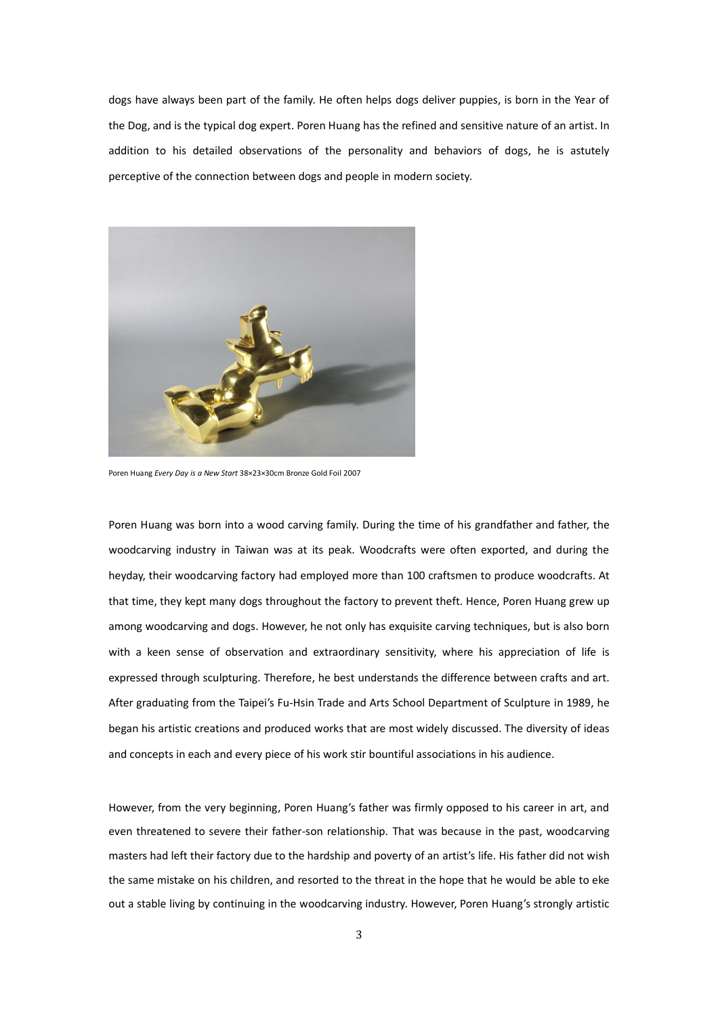dogs have always been part of the family. He often helps dogs deliver puppies, is born in the Year of the Dog, and is the typical dog expert. Poren Huang has the refined and sensitive nature of an artist. In addition to his detailed observations of the personality and behaviors of dogs, he is astutely perceptive of the connection between dogs and people in modern society.



Poren Huang *Every Day is a New Start* 38×23×30cm Bronze Gold Foil 2007

Poren Huang was born into a wood carving family. During the time of his grandfather and father, the woodcarving industry in Taiwan was at its peak. Woodcrafts were often exported, and during the heyday, their woodcarving factory had employed more than 100 craftsmen to produce woodcrafts. At that time, they kept many dogs throughout the factory to prevent theft. Hence, Poren Huang grew up among woodcarving and dogs. However, he not only has exquisite carving techniques, but is also born with a keen sense of observation and extraordinary sensitivity, where his appreciation of life is expressed through sculpturing. Therefore, he best understands the difference between crafts and art. After graduating from the Taipei's Fu-Hsin Trade and Arts School Department of Sculpture in 1989, he began his artistic creations and produced works that are most widely discussed. The diversity of ideas and concepts in each and every piece of his work stir bountiful associations in his audience.

However, from the very beginning, Poren Huang's father was firmly opposed to his career in art, and even threatened to severe their father-son relationship. That was because in the past, woodcarving masters had left their factory due to the hardship and poverty of an artist's life. His father did not wish the same mistake on his children, and resorted to the threat in the hope that he would be able to eke out a stable living by continuing in the woodcarving industry. However, Poren Huang's strongly artistic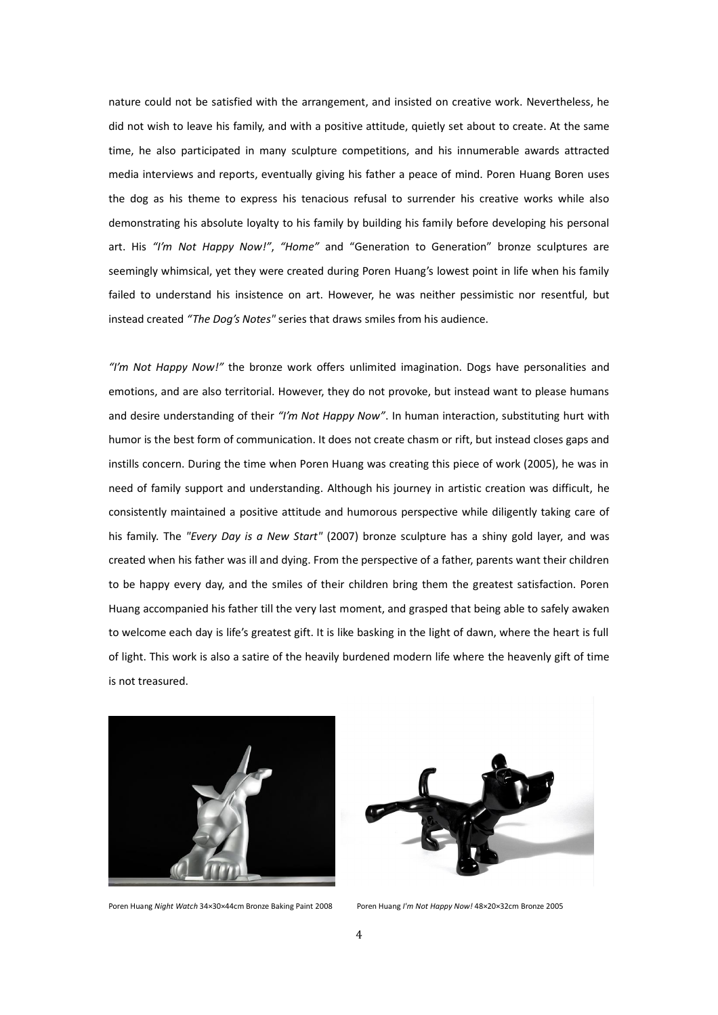nature could not be satisfied with the arrangement, and insisted on creative work. Nevertheless, he did not wish to leave his family, and with a positive attitude, quietly set about to create. At the same time, he also participated in many sculpture competitions, and his innumerable awards attracted media interviews and reports, eventually giving his father a peace of mind. Poren Huang Boren uses the dog as his theme to express his tenacious refusal to surrender his creative works while also demonstrating his absolute loyalty to his family by building his family before developing his personal art. His *"I'm Not Happy Now!"*, *"Home"* and "Generation to Generation" bronze sculptures are seemingly whimsical, yet they were created during Poren Huang's lowest point in life when his family failed to understand his insistence on art. However, he was neither pessimistic nor resentful, but instead created *"The Dog's Notes"* series that draws smiles from his audience.

*"I'm Not Happy Now!"* the bronze work offers unlimited imagination. Dogs have personalities and emotions, and are also territorial. However, they do not provoke, but instead want to please humans and desire understanding of their *"I'm Not Happy Now"*. In human interaction, substituting hurt with humor is the best form of communication. It does not create chasm or rift, but instead closes gaps and instills concern. During the time when Poren Huang was creating this piece of work (2005), he was in need of family support and understanding. Although his journey in artistic creation was difficult, he consistently maintained a positive attitude and humorous perspective while diligently taking care of his family. The *"Every Day is a New Start"* (2007) bronze sculpture has a shiny gold layer, and was created when his father was ill and dying. From the perspective of a father, parents want their children to be happy every day, and the smiles of their children bring them the greatest satisfaction. Poren Huang accompanied his father till the very last moment, and grasped that being able to safely awaken to welcome each day is life's greatest gift. It is like basking in the light of dawn, where the heart is full of light. This work is also a satire of the heavily burdened modern life where the heavenly gift of time is not treasured.



Poren Huang *Night Watch* 34×30×44cm Bronze Baking Paint 2008 Poren Huang *I'm Not Happy Now!* 48×20×32cm Bronze 2005

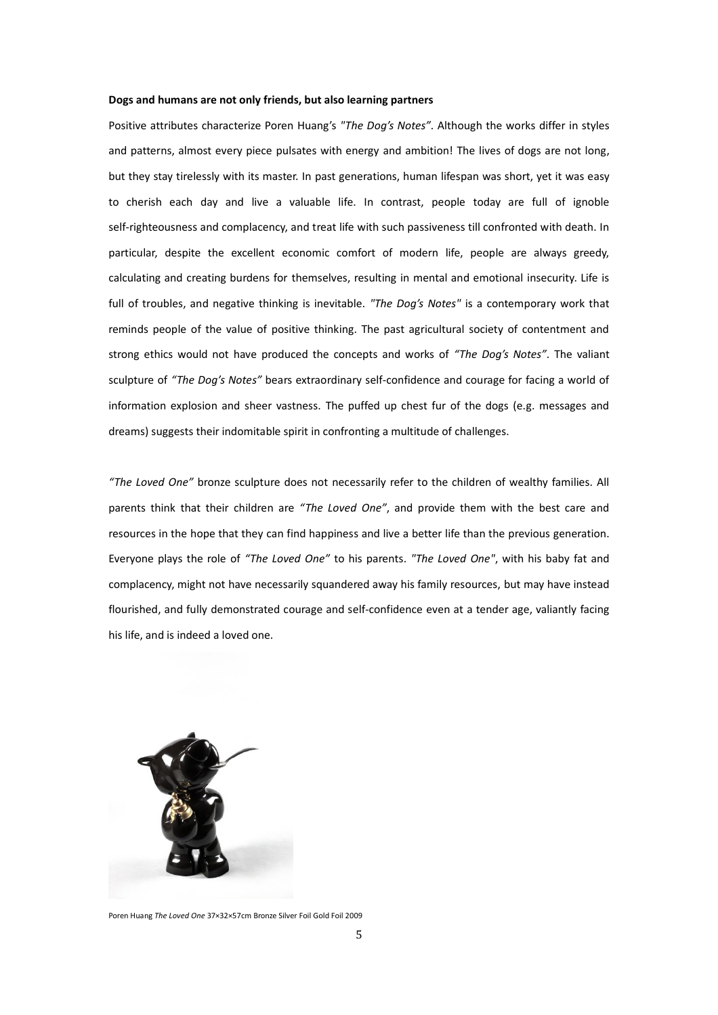#### **Dogs and humans are not only friends, but also learning partners**

Positive attributes characterize Poren Huang's *"The Dog's Notes"*. Although the works differ in styles and patterns, almost every piece pulsates with energy and ambition! The lives of dogs are not long, but they stay tirelessly with its master. In past generations, human lifespan was short, yet it was easy to cherish each day and live a valuable life. In contrast, people today are full of ignoble self-righteousness and complacency, and treat life with such passiveness till confronted with death. In particular, despite the excellent economic comfort of modern life, people are always greedy, calculating and creating burdens for themselves, resulting in mental and emotional insecurity. Life is full of troubles, and negative thinking is inevitable. *"The Dog's Notes"* is a contemporary work that reminds people of the value of positive thinking. The past agricultural society of contentment and strong ethics would not have produced the concepts and works of *"The Dog's Notes"*. The valiant sculpture of *"The Dog's Notes"* bears extraordinary self-confidence and courage for facing a world of information explosion and sheer vastness. The puffed up chest fur of the dogs (e.g. messages and dreams) suggests their indomitable spirit in confronting a multitude of challenges.

*"The Loved One"* bronze sculpture does not necessarily refer to the children of wealthy families. All parents think that their children are *"The Loved One"*, and provide them with the best care and resources in the hope that they can find happiness and live a better life than the previous generation. Everyone plays the role of *"The Loved One"* to his parents. *"The Loved One"*, with his baby fat and complacency, might not have necessarily squandered away his family resources, but may have instead flourished, and fully demonstrated courage and self-confidence even at a tender age, valiantly facing his life, and is indeed a loved one.



Poren Huang *The Loved One* 37×32×57cm Bronze Silver Foil Gold Foil 2009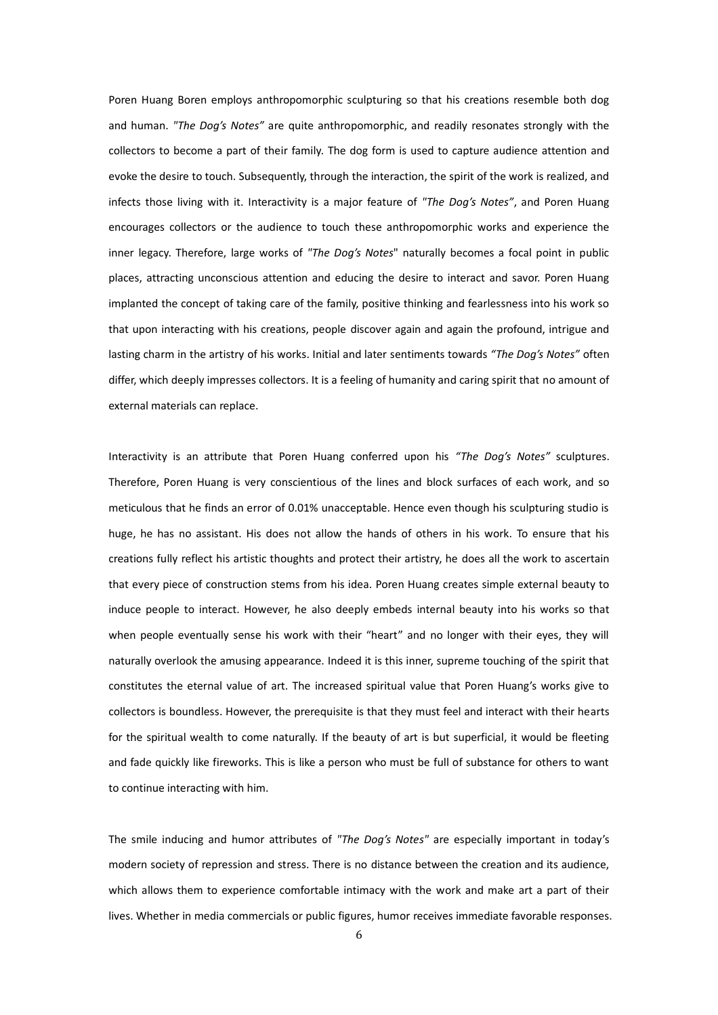Poren Huang Boren employs anthropomorphic sculpturing so that his creations resemble both dog and human. *"The Dog's Notes"* are quite anthropomorphic, and readily resonates strongly with the collectors to become a part of their family. The dog form is used to capture audience attention and evoke the desire to touch. Subsequently, through the interaction, the spirit of the work is realized, and infects those living with it. Interactivity is a major feature of *"The Dog's Notes"*, and Poren Huang encourages collectors or the audience to touch these anthropomorphic works and experience the inner legacy. Therefore, large works of *"The Dog's Notes*" naturally becomes a focal point in public places, attracting unconscious attention and educing the desire to interact and savor. Poren Huang implanted the concept of taking care of the family, positive thinking and fearlessness into his work so that upon interacting with his creations, people discover again and again the profound, intrigue and lasting charm in the artistry of his works. Initial and later sentiments towards *"The Dog's Notes"* often differ, which deeply impresses collectors. It is a feeling of humanity and caring spirit that no amount of external materials can replace.

Interactivity is an attribute that Poren Huang conferred upon his *"The Dog's Notes"* sculptures. Therefore, Poren Huang is very conscientious of the lines and block surfaces of each work, and so meticulous that he finds an error of 0.01% unacceptable. Hence even though his sculpturing studio is huge, he has no assistant. His does not allow the hands of others in his work. To ensure that his creations fully reflect his artistic thoughts and protect their artistry, he does all the work to ascertain that every piece of construction stems from his idea. Poren Huang creates simple external beauty to induce people to interact. However, he also deeply embeds internal beauty into his works so that when people eventually sense his work with their "heart" and no longer with their eyes, they will naturally overlook the amusing appearance. Indeed it is this inner, supreme touching of the spirit that constitutes the eternal value of art. The increased spiritual value that Poren Huang's works give to collectors is boundless. However, the prerequisite is that they must feel and interact with their hearts for the spiritual wealth to come naturally. If the beauty of art is but superficial, it would be fleeting and fade quickly like fireworks. This is like a person who must be full of substance for others to want to continue interacting with him.

The smile inducing and humor attributes of *"The Dog's Notes"* are especially important in today's modern society of repression and stress. There is no distance between the creation and its audience, which allows them to experience comfortable intimacy with the work and make art a part of their lives. Whether in media commercials or public figures, humor receives immediate favorable responses.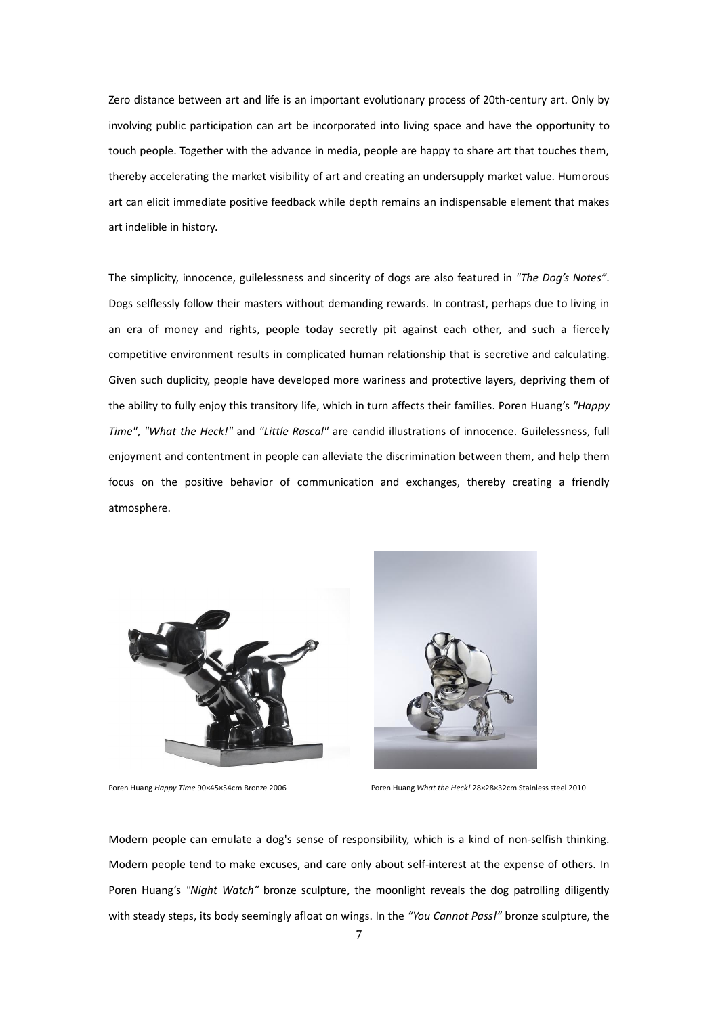Zero distance between art and life is an important evolutionary process of 20th-century art. Only by involving public participation can art be incorporated into living space and have the opportunity to touch people. Together with the advance in media, people are happy to share art that touches them, thereby accelerating the market visibility of art and creating an undersupply market value. Humorous art can elicit immediate positive feedback while depth remains an indispensable element that makes art indelible in history.

The simplicity, innocence, guilelessness and sincerity of dogs are also featured in *"The Dog's Notes"*. Dogs selflessly follow their masters without demanding rewards. In contrast, perhaps due to living in an era of money and rights, people today secretly pit against each other, and such a fiercely competitive environment results in complicated human relationship that is secretive and calculating. Given such duplicity, people have developed more wariness and protective layers, depriving them of the ability to fully enjoy this transitory life, which in turn affects their families. Poren Huang's *"Happy Time"*, *"What the Heck!"* and *"Little Rascal"* are candid illustrations of innocence. Guilelessness, full enjoyment and contentment in people can alleviate the discrimination between them, and help them focus on the positive behavior of communication and exchanges, thereby creating a friendly atmosphere.





Poren Huang *Happy Time* 90×45×54cm Bronze 2006 Poren Huang *What the Heck!* 28×28×32cm Stainless steel 2010

Modern people can emulate a dog's sense of responsibility, which is a kind of non-selfish thinking. Modern people tend to make excuses, and care only about self-interest at the expense of others. In Poren Huang's *"Night Watch"* bronze sculpture, the moonlight reveals the dog patrolling diligently with steady steps, its body seemingly afloat on wings. In the *"You Cannot Pass!"* bronze sculpture, the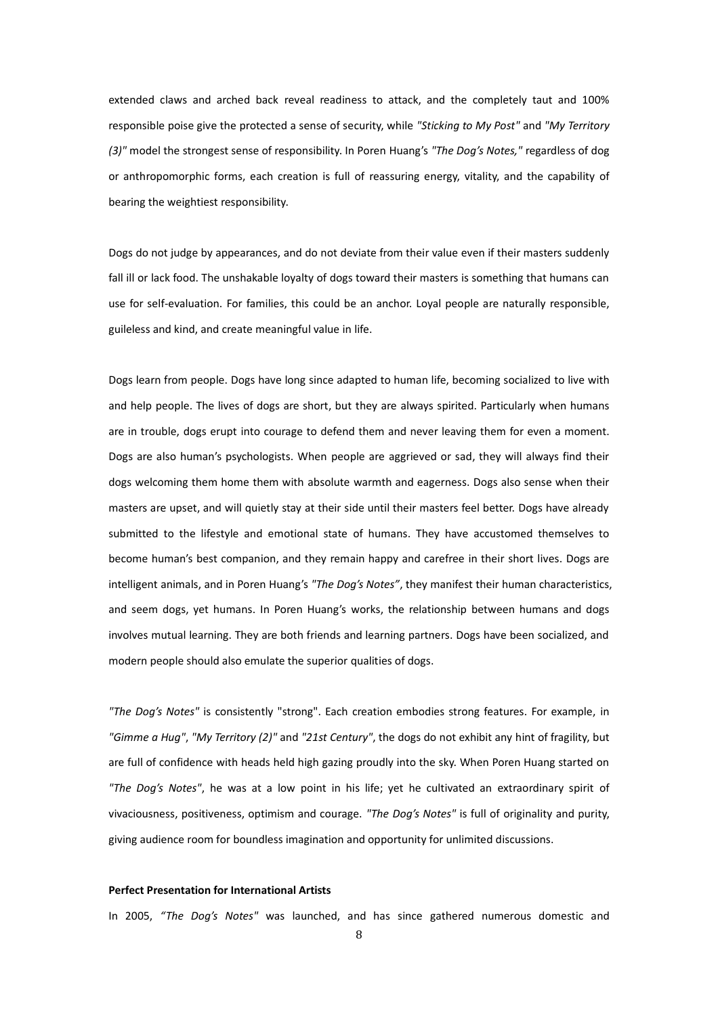extended claws and arched back reveal readiness to attack, and the completely taut and 100% responsible poise give the protected a sense of security, while *"Sticking to My Post"* and *"My Territory (3)"* model the strongest sense of responsibility. In Poren Huang's *"The Dog's Notes,"* regardless of dog or anthropomorphic forms, each creation is full of reassuring energy, vitality, and the capability of bearing the weightiest responsibility.

Dogs do not judge by appearances, and do not deviate from their value even if their masters suddenly fall ill or lack food. The unshakable loyalty of dogs toward their masters is something that humans can use for self-evaluation. For families, this could be an anchor. Loyal people are naturally responsible, guileless and kind, and create meaningful value in life.

Dogs learn from people. Dogs have long since adapted to human life, becoming socialized to live with and help people. The lives of dogs are short, but they are always spirited. Particularly when humans are in trouble, dogs erupt into courage to defend them and never leaving them for even a moment. Dogs are also human's psychologists. When people are aggrieved or sad, they will always find their dogs welcoming them home them with absolute warmth and eagerness. Dogs also sense when their masters are upset, and will quietly stay at their side until their masters feel better. Dogs have already submitted to the lifestyle and emotional state of humans. They have accustomed themselves to become human's best companion, and they remain happy and carefree in their short lives. Dogs are intelligent animals, and in Poren Huang's *"The Dog's Notes"*, they manifest their human characteristics, and seem dogs, yet humans. In Poren Huang's works, the relationship between humans and dogs involves mutual learning. They are both friends and learning partners. Dogs have been socialized, and modern people should also emulate the superior qualities of dogs.

*"The Dog's Notes"* is consistently "strong". Each creation embodies strong features. For example, in *"Gimme a Hug"*, *"My Territory (2)"* and *"21st Century"*, the dogs do not exhibit any hint of fragility, but are full of confidence with heads held high gazing proudly into the sky. When Poren Huang started on *"The Dog's Notes"*, he was at a low point in his life; yet he cultivated an extraordinary spirit of vivaciousness, positiveness, optimism and courage. *"The Dog's Notes"* is full of originality and purity, giving audience room for boundless imagination and opportunity for unlimited discussions.

## **Perfect Presentation for International Artists**

In 2005, *"The Dog's Notes"* was launched, and has since gathered numerous domestic and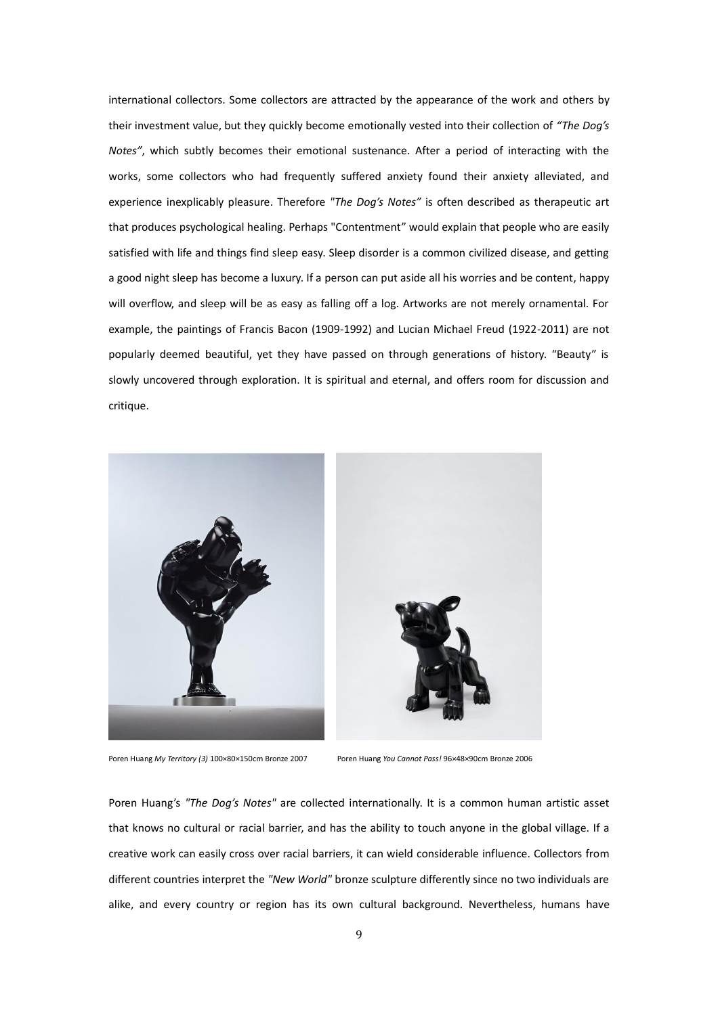international collectors. Some collectors are attracted by the appearance of the work and others by their investment value, but they quickly become emotionally vested into their collection of *"The Dog's Notes"*, which subtly becomes their emotional sustenance. After a period of interacting with the works, some collectors who had frequently suffered anxiety found their anxiety alleviated, and experience inexplicably pleasure. Therefore *"The Dog's Notes"* is often described as therapeutic art that produces psychological healing. Perhaps "Contentment" would explain that people who are easily satisfied with life and things find sleep easy. Sleep disorder is a common civilized disease, and getting a good night sleep has become a luxury. If a person can put aside all his worries and be content, happy will overflow, and sleep will be as easy as falling off a log. Artworks are not merely ornamental. For example, the paintings of Francis Bacon (1909-1992) and Lucian Michael Freud (1922-2011) are not popularly deemed beautiful, yet they have passed on through generations of history. "Beauty" is slowly uncovered through exploration. It is spiritual and eternal, and offers room for discussion and critique.



Poren Huang *My Territory (3)* 100×80×150cm Bronze 2007 Poren Huang *You Cannot Pass!* 96×48×90cm Bronze 2006

Poren Huang's *"The Dog's Notes"* are collected internationally. It is a common human artistic asset that knows no cultural or racial barrier, and has the ability to touch anyone in the global village. If a creative work can easily cross over racial barriers, it can wield considerable influence. Collectors from different countries interpret the *"New World"* bronze sculpture differently since no two individuals are alike, and every country or region has its own cultural background. Nevertheless, humans have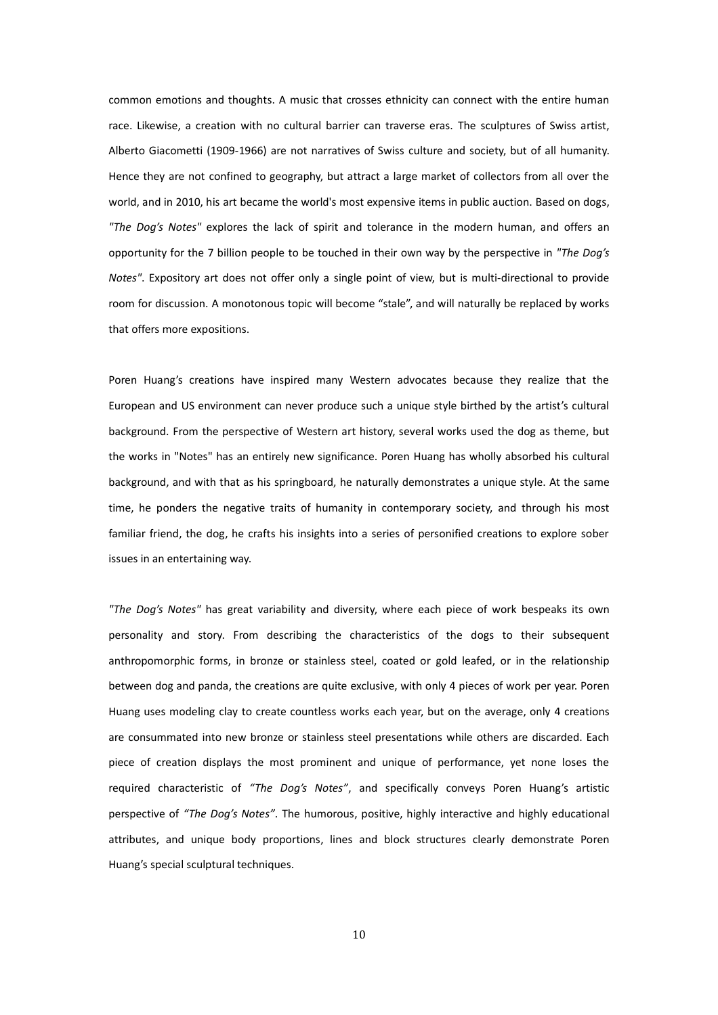common emotions and thoughts. A music that crosses ethnicity can connect with the entire human race. Likewise, a creation with no cultural barrier can traverse eras. The sculptures of Swiss artist, Alberto Giacometti (1909-1966) are not narratives of Swiss culture and society, but of all humanity. Hence they are not confined to geography, but attract a large market of collectors from all over the world, and in 2010, his art became the world's most expensive items in public auction. Based on dogs, *"The Dog's Notes"* explores the lack of spirit and tolerance in the modern human, and offers an opportunity for the 7 billion people to be touched in their own way by the perspective in *"The Dog's Notes"*. Expository art does not offer only a single point of view, but is multi-directional to provide room for discussion. A monotonous topic will become "stale", and will naturally be replaced by works that offers more expositions.

Poren Huang's creations have inspired many Western advocates because they realize that the European and US environment can never produce such a unique style birthed by the artist's cultural background. From the perspective of Western art history, several works used the dog as theme, but the works in "Notes" has an entirely new significance. Poren Huang has wholly absorbed his cultural background, and with that as his springboard, he naturally demonstrates a unique style. At the same time, he ponders the negative traits of humanity in contemporary society, and through his most familiar friend, the dog, he crafts his insights into a series of personified creations to explore sober issues in an entertaining way.

*"The Dog's Notes"* has great variability and diversity, where each piece of work bespeaks its own personality and story. From describing the characteristics of the dogs to their subsequent anthropomorphic forms, in bronze or stainless steel, coated or gold leafed, or in the relationship between dog and panda, the creations are quite exclusive, with only 4 pieces of work per year. Poren Huang uses modeling clay to create countless works each year, but on the average, only 4 creations are consummated into new bronze or stainless steel presentations while others are discarded. Each piece of creation displays the most prominent and unique of performance, yet none loses the required characteristic of *"The Dog's Notes"*, and specifically conveys Poren Huang's artistic perspective of *"The Dog's Notes"*. The humorous, positive, highly interactive and highly educational attributes, and unique body proportions, lines and block structures clearly demonstrate Poren Huang's special sculptural techniques.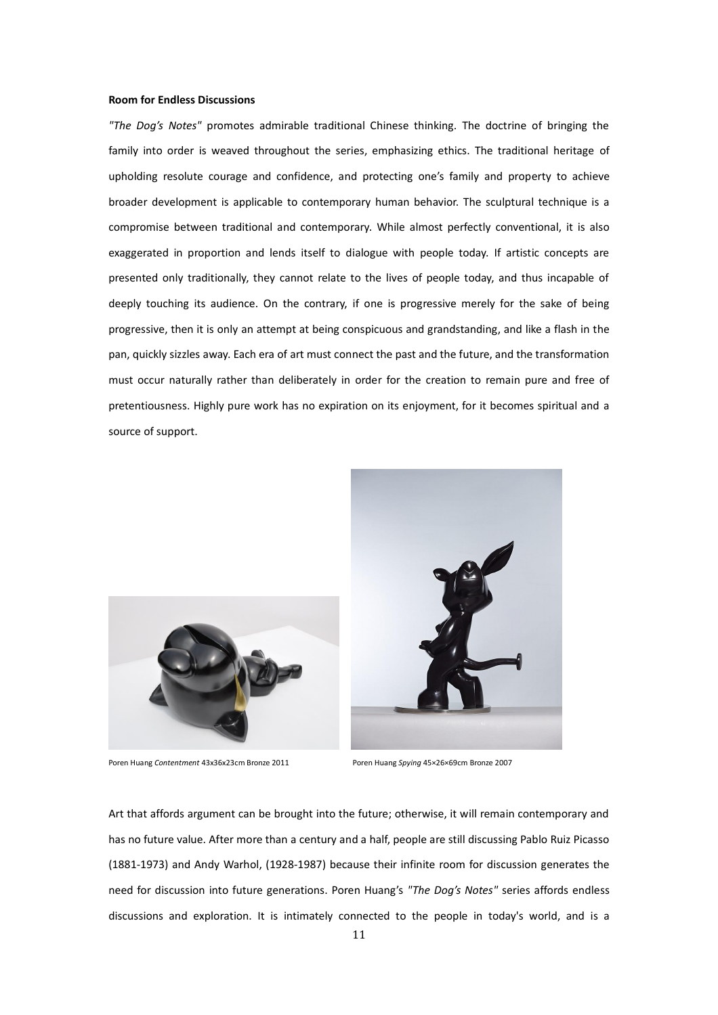#### **Room for Endless Discussions**

*"The Dog's Notes"* promotes admirable traditional Chinese thinking. The doctrine of bringing the family into order is weaved throughout the series, emphasizing ethics. The traditional heritage of upholding resolute courage and confidence, and protecting one's family and property to achieve broader development is applicable to contemporary human behavior. The sculptural technique is a compromise between traditional and contemporary. While almost perfectly conventional, it is also exaggerated in proportion and lends itself to dialogue with people today. If artistic concepts are presented only traditionally, they cannot relate to the lives of people today, and thus incapable of deeply touching its audience. On the contrary, if one is progressive merely for the sake of being progressive, then it is only an attempt at being conspicuous and grandstanding, and like a flash in the pan, quickly sizzles away. Each era of art must connect the past and the future, and the transformation must occur naturally rather than deliberately in order for the creation to remain pure and free of pretentiousness. Highly pure work has no expiration on its enjoyment, for it becomes spiritual and a source of support.



Poren Huang *Contentment* 43x36x23cm Bronze 2011 Poren Huang *Spying* 45×26×69cm Bronze 2007



Art that affords argument can be brought into the future; otherwise, it will remain contemporary and has no future value. After more than a century and a half, people are still discussing Pablo Ruiz Picasso (1881-1973) and Andy Warhol, (1928-1987) because their infinite room for discussion generates the need for discussion into future generations. Poren Huang's *"The Dog's Notes"* series affords endless discussions and exploration. It is intimately connected to the people in today's world, and is a